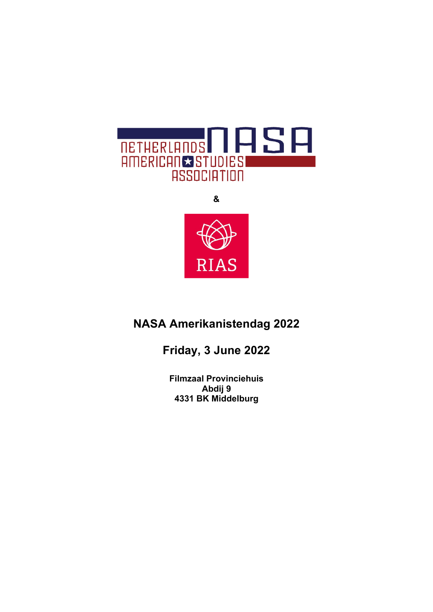

**& RIAS** 

# **NASA Amerikanistendag 2022**

**Friday, 3 June 2022**

**Filmzaal Provinciehuis Abdij 9 4331 BK Middelburg**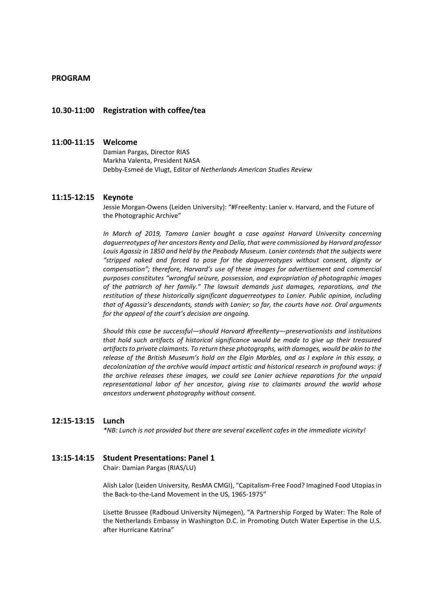## **PROGRAM**

## **10.30-11:00 Registration with coffee/tea**

# **11:00-11:15 Welcome**

Damian Pargas, Director RIAS Markha Valenta, President NASA Debby-Esmeé de Vlugt, Editor of *Netherlands American Studies Review*

#### **11:15-12:15 Keynote**

Jessie Morgan-Owens (Leiden University): "#FreeRenty: Lanier v. Harvard, and the Future of the Photographic Archive"

*In March of 2019, Tamara Lanier bought a case against Harvard University concerning daguerreotypes of her ancestors Renty and Delia, that were commissioned by Harvard professor Louis Agassiz in 1850 and held by the Peabody Museum. Lanier contends that the subjects were "stripped naked and forced to pose for the daguerreotypes without consent, dignity or compensation"; therefore, Harvard's use of these images for advertisement and commercial purposes constitutes "wrongful seizure, possession, and expropriation of photographic images of the patriarch of her family." The lawsuit demands just damages, reparations, and the restitution of these historically significant daguerreotypes to Lanier. Public opinion, including that of Agassiz's descendants, stands with Lanier; so far, the courts have not. Oral arguments for the appeal of the court's decision are ongoing.*

*Should this case be successful—should Harvard #freeRenty—preservationists and institutions that hold such artifacts of historical significance would be made to give up their treasured artifacts to private claimants. To return these photographs, with damages, would be akin to the release of the British Museum's hold on the Elgin Marbles, and as I explore in this essay, a decolonization of the archive would impact artistic and historical research in profound ways: if the archive releases these images, we could see Lanier achieve reparations for the unpaid representational labor of her ancestor, giving rise to claimants around the world whose ancestors underwent photography without consent.*

#### **12:15-13:15 Lunch**

*\*NB: Lunch is not provided but there are several excellent cafes in the immediate vicinity!*

# **13:15-14:15 Student Presentations: Panel 1**

Chair: Damian Pargas (RIAS/LU)

Alish Lalor (Leiden University, ResMA CMGI), "Capitalism-Free Food? Imagined Food Utopias in the Back-to-the-Land Movement in the US, 1965-1975"

Lisette Brussee (Radboud University Nijmegen), "A Partnership Forged by Water: The Role of the Netherlands Embassy in Washington D.C. in Promoting Dutch Water Expertise in the U.S. after Hurricane Katrina"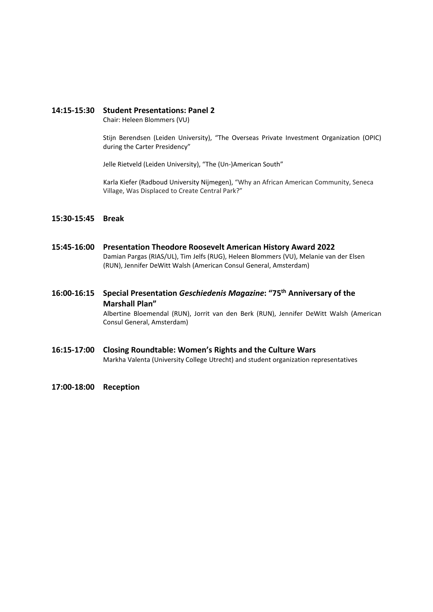# **14:15-15:30 Student Presentations: Panel 2**

Chair: Heleen Blommers (VU)

Stijn Berendsen (Leiden University), "The Overseas Private Investment Organization (OPIC) during the Carter Presidency"

Jelle Rietveld (Leiden University), "The (Un-)American South"

Karla Kiefer (Radboud University Nijmegen), "Why an African American Community, Seneca Village, Was Displaced to Create Central Park?"

# **15:30-15:45 Break**

- **15:45-16:00 Presentation Theodore Roosevelt American History Award 2022** Damian Pargas (RIAS/UL), Tim Jelfs (RUG), Heleen Blommers (VU), Melanie van der Elsen (RUN), Jennifer DeWitt Walsh (American Consul General, Amsterdam)
- **16:00-16:15 Special Presentation** *Geschiedenis Magazine***: "75th Anniversary of the Marshall Plan"**

Albertine Bloemendal (RUN), Jorrit van den Berk (RUN), Jennifer DeWitt Walsh (American Consul General, Amsterdam)

- **16:15-17:00 Closing Roundtable: Women's Rights and the Culture Wars** Markha Valenta (University College Utrecht) and student organization representatives
- **17:00-18:00 Reception**